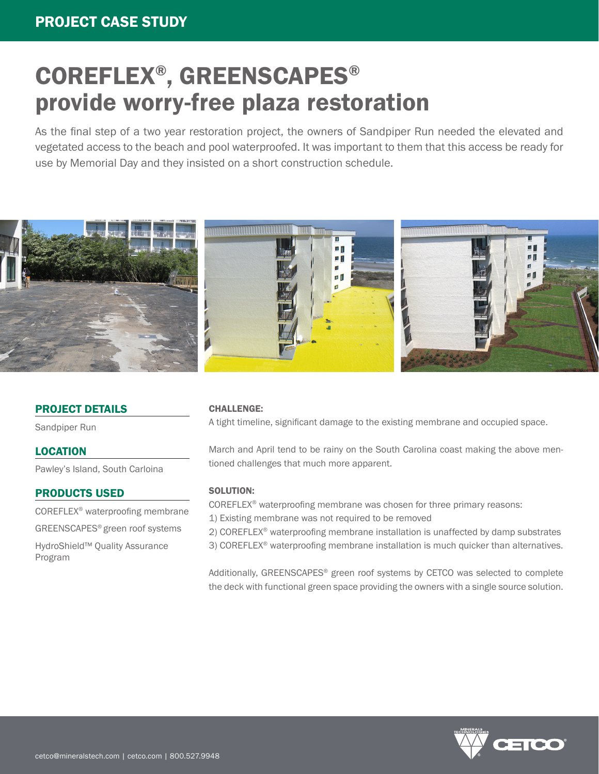# COREFLEX® , GREENSCAPES® provide worry-free plaza restoration

As the final step of a two year restoration project, the owners of Sandpiper Run needed the elevated and vegetated access to the beach and pool waterproofed. It was important to them that this access be ready for use by Memorial Day and they insisted on a short construction schedule.



# PROJECT DETAILS

Sandpiper Run

## LOCATION

Pawley's Island, South Carloina

## PRODUCTS USED

COREFLEX® waterproofing membrane

GREENSCAPES® green roof systems

HydroShield™ Quality Assurance Program

#### CHALLENGE:

A tight timeline, significant damage to the existing membrane and occupied space.

March and April tend to be rainy on the South Carolina coast making the above mentioned challenges that much more apparent.

#### SOLUTION:

COREFLEX® waterproofing membrane was chosen for three primary reasons:

1) Existing membrane was not required to be removed

2) COREFLEX® waterproofing membrane installation is unaffected by damp substrates

3) COREFLEX® waterproofing membrane installation is much quicker than alternatives.

Additionally, GREENSCAPES® green roof systems by CETCO was selected to complete the deck with functional green space providing the owners with a single source solution.